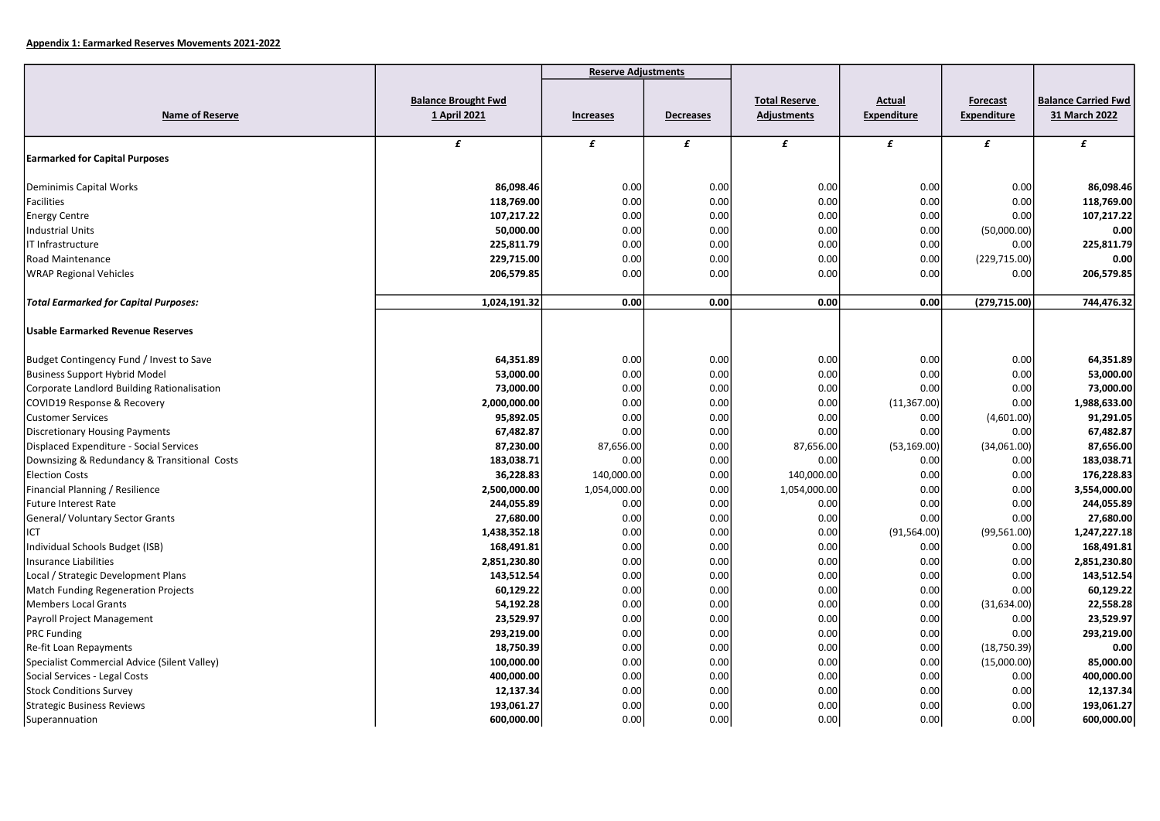|                                              |                                            | <b>Reserve Adjustments</b> |                  |                                     |                                     |                         |                                             |
|----------------------------------------------|--------------------------------------------|----------------------------|------------------|-------------------------------------|-------------------------------------|-------------------------|---------------------------------------------|
| Name of Reserve                              | <b>Balance Brought Fwd</b><br>1 April 2021 | Increases                  | <b>Decreases</b> | <b>Total Reserve</b><br>Adjustments | <b>Actual</b><br><b>Expenditure</b> | Forecast<br>Expenditure | <b>Balance Carried Fwd</b><br>31 March 2022 |
| <b>Earmarked for Capital Purposes</b>        | £                                          | £                          | £                | £                                   | £                                   | £                       | £                                           |
|                                              |                                            |                            |                  |                                     |                                     |                         |                                             |
| Deminimis Capital Works                      | 86,098.46                                  | 0.00                       | 0.00             | 0.00                                | 0.00                                | 0.00                    | 86,098.46                                   |
| <b>Facilities</b>                            | 118,769.00                                 | 0.00                       | 0.00             | 0.00                                | 0.00                                | 0.00                    | 118,769.00                                  |
| <b>Energy Centre</b>                         | 107,217.22                                 | 0.00                       | 0.00             | 0.00                                | 0.00                                | 0.00                    | 107,217.22                                  |
| <b>Industrial Units</b>                      | 50,000.00                                  | 0.00                       | 0.00             | 0.00                                | 0.00                                | (50,000.00)             | 0.00                                        |
| IT Infrastructure                            | 225,811.79                                 | 0.00                       | 0.00             | 0.00                                | 0.00                                | 0.00                    | 225,811.79                                  |
| Road Maintenance                             | 229,715.00                                 | 0.00                       | 0.00             | 0.00                                | 0.00                                | (229, 715.00)           | 0.00                                        |
| <b>WRAP Regional Vehicles</b>                | 206,579.85                                 | 0.00                       | 0.00             | 0.00                                | 0.00                                | 0.00                    | 206,579.85                                  |
| <b>Total Earmarked for Capital Purposes:</b> | 1,024,191.32                               | 0.00                       | 0.00             | 0.00                                | 0.00                                | (279, 715.00)           | 744,476.32                                  |
| <b>Usable Earmarked Revenue Reserves</b>     |                                            |                            |                  |                                     |                                     |                         |                                             |
| Budget Contingency Fund / Invest to Save     | 64,351.89                                  | 0.00                       | 0.00             | 0.00                                | 0.00                                | 0.00                    | 64,351.89                                   |
| <b>Business Support Hybrid Model</b>         | 53,000.00                                  | 0.00                       | 0.00             | 0.00                                | 0.00                                | 0.00                    | 53,000.00                                   |
| Corporate Landlord Building Rationalisation  | 73,000.00                                  | 0.00                       | 0.00             | 0.00                                | 0.00                                | 0.00                    | 73,000.00                                   |
| COVID19 Response & Recovery                  | 2,000,000.00                               | 0.00                       | 0.00             | 0.00                                | (11, 367.00)                        | 0.00                    | 1,988,633.00                                |
| <b>Customer Services</b>                     | 95,892.05                                  | 0.00                       | 0.00             | 0.00                                | 0.00                                | (4,601.00)              | 91,291.05                                   |
| <b>Discretionary Housing Payments</b>        | 67,482.87                                  | 0.00                       | 0.00             | 0.00                                | 0.00                                | 0.00                    | 67,482.87                                   |
| Displaced Expenditure - Social Services      | 87,230.00                                  | 87,656.00                  | 0.00             | 87,656.00                           | (53, 169.00)                        | (34,061.00)             | 87,656.00                                   |
| Downsizing & Redundancy & Transitional Costs | 183,038.71                                 | 0.00                       | 0.00             | 0.00                                | 0.00                                | 0.00                    | 183,038.71                                  |
| <b>Election Costs</b>                        | 36,228.83                                  | 140,000.00                 | 0.00             | 140,000.00                          | 0.00                                | 0.00                    | 176,228.83                                  |
| Financial Planning / Resilience              | 2,500,000.00                               | 1,054,000.00               | 0.00             | 1,054,000.00                        | 0.00                                | 0.00                    | 3,554,000.00                                |
| <b>Future Interest Rate</b>                  | 244,055.89                                 | 0.00                       | 0.00             | 0.00                                | 0.00                                | 0.00                    | 244,055.89                                  |
| General/ Voluntary Sector Grants             | 27,680.00                                  | 0.00                       | 0.00             | 0.00                                | 0.00                                | 0.00                    | 27,680.00                                   |
| ICT                                          | 1,438,352.18                               | 0.00                       | 0.00             | 0.00                                | (91, 564.00)                        | (99, 561.00)            | 1,247,227.18                                |
| Individual Schools Budget (ISB)              | 168,491.81                                 | 0.00                       | 0.00             | 0.00                                | 0.00                                | 0.00                    | 168,491.81                                  |
| <b>Insurance Liabilities</b>                 | 2,851,230.80                               | 0.00                       | 0.00             | 0.00                                | 0.00                                | 0.00                    | 2,851,230.80                                |
| Local / Strategic Development Plans          | 143,512.54                                 | 0.00                       | 0.00             | 0.00                                | 0.00                                | 0.00                    | 143,512.54                                  |
| Match Funding Regeneration Projects          | 60,129.22                                  | 0.00                       | 0.00             | 0.00                                | 0.00                                | 0.00                    | 60,129.22                                   |
| <b>Members Local Grants</b>                  | 54,192.28                                  | 0.00                       | 0.00             | 0.00                                | 0.00                                | (31, 634.00)            | 22,558.28                                   |
| Payroll Project Management                   | 23,529.97                                  | 0.00                       | 0.00             | 0.00                                | 0.00                                | 0.00                    | 23,529.97                                   |
| <b>PRC Funding</b>                           | 293,219.00                                 | 0.00                       | 0.00             | 0.00                                | 0.00                                | 0.00                    | 293,219.00                                  |
| Re-fit Loan Repayments                       | 18,750.39                                  | 0.00                       | 0.00             | 0.00                                | 0.00                                | (18,750.39)             | 0.00                                        |
| Specialist Commercial Advice (Silent Valley) | 100,000.00                                 | 0.00                       | 0.00             | 0.00                                | 0.00                                | (15,000.00)             | 85,000.00                                   |
| Social Services - Legal Costs                | 400,000.00                                 | 0.00                       | 0.00             | 0.00                                | 0.00                                | 0.00                    | 400,000.00                                  |
| <b>Stock Conditions Survey</b>               | 12,137.34                                  | 0.00                       | 0.00             | 0.00                                | 0.00                                | 0.00                    | 12,137.34                                   |
| <b>Strategic Business Reviews</b>            | 193,061.27                                 | 0.00                       | 0.00             | 0.00                                | 0.00                                | 0.00                    | 193,061.27                                  |
| Superannuation                               | 600,000.00                                 | 0.00                       | 0.00             | 0.00                                | 0.00                                | 0.00                    | 600,000.00                                  |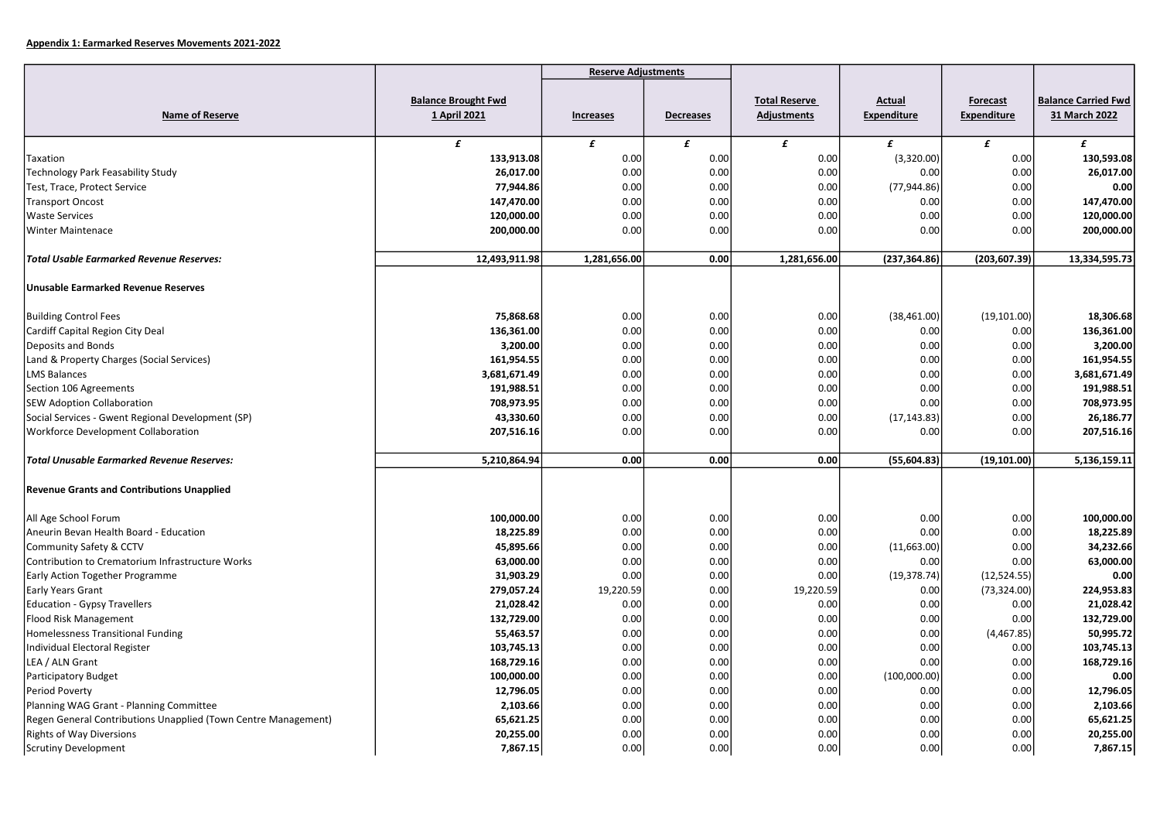|                                                                |                                            | <b>Reserve Adjustments</b> |                  |                                            |                                     |                                       |                                             |
|----------------------------------------------------------------|--------------------------------------------|----------------------------|------------------|--------------------------------------------|-------------------------------------|---------------------------------------|---------------------------------------------|
| <b>Name of Reserve</b>                                         | <b>Balance Brought Fwd</b><br>1 April 2021 | Increases                  | <b>Decreases</b> | <b>Total Reserve</b><br><b>Adjustments</b> | <b>Actual</b><br><b>Expenditure</b> | <b>Forecast</b><br><b>Expenditure</b> | <b>Balance Carried Fwd</b><br>31 March 2022 |
|                                                                | £                                          | £                          | £                | £                                          | £                                   | £                                     | £                                           |
| Taxation                                                       | 133,913.08                                 | 0.00                       | 0.00             | 0.00                                       | (3,320.00)                          | 0.00                                  | 130,593.08                                  |
| <b>Technology Park Feasability Study</b>                       | 26,017.00                                  | 0.00                       | 0.00             | 0.00                                       | 0.00                                | 0.00                                  | 26,017.00                                   |
| Test, Trace, Protect Service                                   | 77,944.86                                  | 0.00                       | 0.00             | 0.00                                       | (77, 944.86)                        | 0.00                                  | 0.00                                        |
| <b>Transport Oncost</b>                                        | 147,470.00                                 | 0.00                       | 0.00             | 0.00                                       | 0.00                                | 0.00                                  | 147,470.00                                  |
| <b>Waste Services</b>                                          | 120,000.00                                 | 0.00                       | 0.00             | 0.00                                       | 0.00                                | 0.00                                  | 120,000.00                                  |
| <b>Winter Maintenace</b>                                       | 200,000.00                                 | 0.00                       | 0.00             | 0.00                                       | 0.00                                | 0.00                                  | 200,000.00                                  |
| <b>Total Usable Earmarked Revenue Reserves:</b>                | 12,493,911.98                              | 1,281,656.00               | 0.00             | 1,281,656.00                               | (237, 364.86)                       | (203, 607.39)                         | 13,334,595.73                               |
| <b>Unusable Earmarked Revenue Reserves</b>                     |                                            |                            |                  |                                            |                                     |                                       |                                             |
| <b>Building Control Fees</b>                                   | 75,868.68                                  | 0.00                       | 0.00             | 0.00                                       | (38, 461.00)                        | (19, 101.00)                          | 18,306.68                                   |
| Cardiff Capital Region City Deal                               | 136,361.00                                 | 0.00                       | 0.00             | 0.00                                       | 0.00                                | 0.00                                  | 136,361.00                                  |
| Deposits and Bonds                                             | 3,200.00                                   | 0.00                       | 0.00             | 0.00                                       | 0.00                                | 0.00                                  | 3,200.00                                    |
| Land & Property Charges (Social Services)                      | 161,954.55                                 | 0.00                       | 0.00             | 0.00                                       | 0.00                                | 0.00                                  | 161,954.55                                  |
| <b>LMS Balances</b>                                            | 3,681,671.49                               | 0.00                       | 0.00             | 0.00                                       | 0.00                                | 0.00                                  | 3,681,671.49                                |
| Section 106 Agreements                                         | 191,988.51                                 | 0.00                       | 0.00             | 0.00                                       | 0.00                                | 0.00                                  | 191,988.51                                  |
| <b>SEW Adoption Collaboration</b>                              | 708,973.95                                 | 0.00                       | 0.00             | 0.00                                       | 0.00                                | 0.00                                  | 708,973.95                                  |
| Social Services - Gwent Regional Development (SP)              | 43,330.60                                  | 0.00                       | 0.00             | 0.00                                       | (17, 143.83)                        | 0.00                                  | 26,186.77                                   |
| Workforce Development Collaboration                            | 207,516.16                                 | 0.00                       | 0.00             | 0.00                                       | 0.00                                | 0.00                                  | 207,516.16                                  |
| <b>Total Unusable Earmarked Revenue Reserves:</b>              | 5,210,864.94                               | 0.00                       | 0.00             | 0.00                                       | (55,604.83)                         | (19, 101.00)                          | 5,136,159.11                                |
| <b>Revenue Grants and Contributions Unapplied</b>              |                                            |                            |                  |                                            |                                     |                                       |                                             |
| All Age School Forum                                           | 100,000.00                                 | 0.00                       | 0.00             | 0.00                                       | 0.00                                | 0.00                                  | 100,000.00                                  |
| Aneurin Bevan Health Board - Education                         | 18,225.89                                  | 0.00                       | 0.00             | 0.00                                       | 0.00                                | 0.00                                  | 18,225.89                                   |
| Community Safety & CCTV                                        | 45,895.66                                  | 0.00                       | 0.00             | 0.00                                       | (11,663.00)                         | 0.00                                  | 34,232.66                                   |
| Contribution to Crematorium Infrastructure Works               | 63,000.00                                  | 0.00                       | 0.00             | 0.00                                       | 0.00                                | 0.00                                  | 63,000.00                                   |
| Early Action Together Programme                                | 31,903.29                                  | 0.00                       | 0.00             | 0.00                                       | (19, 378.74)                        | (12,524.55)                           | 0.00                                        |
| Early Years Grant                                              | 279,057.24                                 | 19,220.59                  | 0.00             | 19,220.59                                  | 0.00                                | (73, 324.00)                          | 224,953.83                                  |
| <b>Education - Gypsy Travellers</b>                            | 21,028.42                                  | 0.00                       | 0.00             | 0.00                                       | 0.00                                | 0.00                                  | 21,028.42                                   |
| Flood Risk Management                                          | 132,729.00                                 | 0.00                       | 0.00             | 0.00                                       | 0.00                                | 0.00                                  | 132,729.00                                  |
| <b>Homelessness Transitional Funding</b>                       | 55,463.57                                  | 0.00                       | 0.00             | 0.00                                       | 0.00                                | (4,467.85)                            | 50,995.72                                   |
| Individual Electoral Register                                  | 103,745.13                                 | 0.00                       | 0.00             | 0.00                                       | 0.00                                | 0.00                                  | 103,745.13                                  |
| LEA / ALN Grant                                                | 168,729.16                                 | 0.00                       | 0.00             | 0.00                                       | 0.00                                | 0.00                                  | 168,729.16                                  |
| <b>Participatory Budget</b>                                    | 100,000.00                                 | 0.00                       | 0.00             | 0.00                                       | (100,000.00)                        | 0.00                                  | 0.00                                        |
| Period Poverty                                                 | 12,796.05                                  | 0.00                       | 0.00             | 0.00                                       | 0.00                                | 0.00                                  | 12,796.05                                   |
| Planning WAG Grant - Planning Committee                        | 2,103.66                                   | 0.00                       | 0.00             | 0.00                                       | 0.00                                | 0.00                                  | 2,103.66                                    |
| Regen General Contributions Unapplied (Town Centre Management) | 65,621.25                                  | 0.00                       | 0.00             | 0.00                                       | 0.00                                | 0.00                                  | 65,621.25                                   |
| <b>Rights of Way Diversions</b>                                | 20,255.00                                  | 0.00                       | 0.00             | 0.00                                       | 0.00                                | 0.00                                  | 20,255.00                                   |
| <b>Scrutiny Development</b>                                    | 7,867.15                                   | 0.00                       | 0.00             | 0.00                                       | 0.00                                | 0.00                                  | 7,867.15                                    |